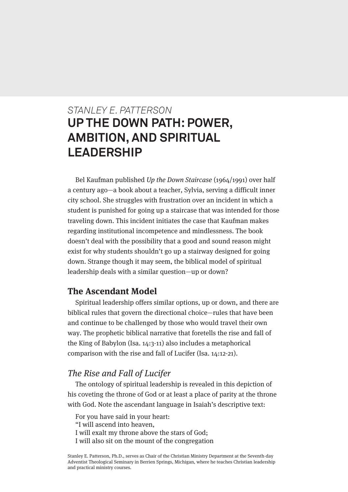# *STANLEY E. PATTERSON* **UP THE DOWN PATH: POWER, AMBITION, AND SPIRITUAL LEADERSHIP**

Bel Kaufman published Up the Down Staircase (1964/1991) over half a century ago—a book about a teacher, Sylvia, serving a difficult inner city school. She struggles with frustration over an incident in which a student is punished for going up a staircase that was intended for those traveling down. This incident initiates the case that Kaufman makes regarding institutional incompetence and mindlessness. The book doesn't deal with the possibility that a good and sound reason might exist for why students shouldn't go up a stairway designed for going down. Strange though it may seem, the biblical model of spiritual leadership deals with a similar question—up or down?

### **The Ascendant Model**

Spiritual leadership offers similar options, up or down, and there are biblical rules that govern the directional choice—rules that have been and continue to be challenged by those who would travel their own way. The prophetic biblical narrative that foretells the rise and fall of the King of Babylon (Isa. 14:3-11) also includes a metaphorical comparison with the rise and fall of Lucifer (Isa. 14:12-21).

### The Rise and Fall of Lucifer

The ontology of spiritual leadership is revealed in this depiction of his coveting the throne of God or at least a place of parity at the throne with God. Note the ascendant language in Isaiah's descriptive text:

For you have said in your heart: "I will ascend into heaven, I will exalt my throne above the stars of God; I will also sit on the mount of the congregation

Stanley E. Patterson, Ph.D., serves as Chair of the Christian Ministry Department at the Seventh-day Adventist Theological Seminary in Berrien Springs, Michigan, where he teaches Christian leadership and practical ministry courses.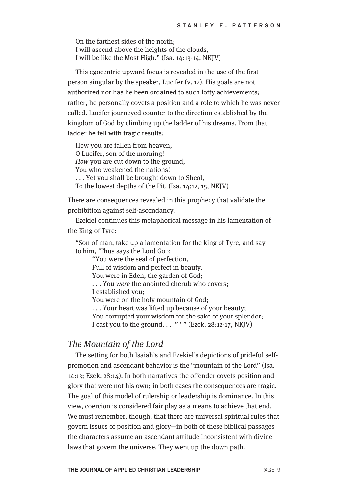On the farthest sides of the north; I will ascend above the heights of the clouds, I will be like the Most High." (Isa. 14:13-14, NKJV)

This egocentric upward focus is revealed in the use of the first person singular by the speaker, Lucifer (v. 12). His goals are not authorized nor has he been ordained to such lofty achievements; rather, he personally covets a position and a role to which he was never called. Lucifer journeyed counter to the direction established by the kingdom of God by climbing up the ladder of his dreams. From that ladder he fell with tragic results:

How you are fallen from heaven, O Lucifer, son of the morning! How you are cut down to the ground, You who weakened the nations! . . . Yet you shall be brought down to Sheol, To the lowest depths of the Pit. (Isa. 14:12, 15, NKJV)

There are consequences revealed in this prophecy that validate the prohibition against self-ascendancy.

Ezekiel continues this metaphorical message in his lamentation of the King of Tyre:

"Son of man, take up a lamentation for the king of Tyre, and say to him, 'Thus says the Lord GOD:

"You were the seal of perfection, Full of wisdom and perfect in beauty. You were in Eden, the garden of God; . . . You were the anointed cherub who covers; I established you; You were on the holy mountain of God; . . . Your heart was lifted up because of your beauty; You corrupted your wisdom for the sake of your splendor; I cast you to the ground.  $\dots$ " " (Ezek. 28:12-17, NKJV)

#### The Mountain of the Lord

The setting for both Isaiah's and Ezekiel's depictions of prideful selfpromotion and ascendant behavior is the "mountain of the Lord" (Isa. 14:13; Ezek. 28:14). In both narratives the offender covets position and glory that were not his own; in both cases the consequences are tragic. The goal of this model of rulership or leadership is dominance. In this view, coercion is considered fair play as a means to achieve that end. We must remember, though, that there are universal spiritual rules that govern issues of position and glory—in both of these biblical passages the characters assume an ascendant attitude inconsistent with divine laws that govern the universe. They went up the down path.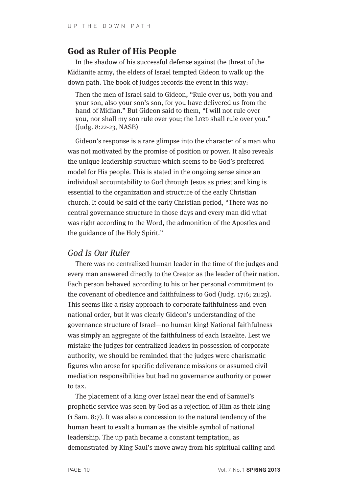#### **God as Ruler of His People**

In the shadow of his successful defense against the threat of the Midianite army, the elders of Israel tempted Gideon to walk up the down path. The book of Judges records the event in this way:

Then the men of Israel said to Gideon, "Rule over us, both you and your son, also your son's son, for you have delivered us from the hand of Midian." But Gideon said to them, "I will not rule over you, nor shall my son rule over you; the LORD shall rule over you." (Judg. 8:22-23, NASB)

Gideon's response is a rare glimpse into the character of a man who was not motivated by the promise of position or power. It also reveals the unique leadership structure which seems to be God's preferred model for His people. This is stated in the ongoing sense since an individual accountability to God through Jesus as priest and king is essential to the organization and structure of the early Christian church. It could be said of the early Christian period, "There was no central governance structure in those days and every man did what was right according to the Word, the admonition of the Apostles and the guidance of the Holy Spirit."

#### God Is Our Ruler

There was no centralized human leader in the time of the judges and every man answered directly to the Creator as the leader of their nation. Each person behaved according to his or her personal commitment to the covenant of obedience and faithfulness to God (Judg. 17:6; 21:25). This seems like a risky approach to corporate faithfulness and even national order, but it was clearly Gideon's understanding of the governance structure of Israel—no human king! National faithfulness was simply an aggregate of the faithfulness of each Israelite. Lest we mistake the judges for centralized leaders in possession of corporate authority, we should be reminded that the judges were charismatic figures who arose for specific deliverance missions or assumed civil mediation responsibilities but had no governance authority or power to tax.

The placement of a king over Israel near the end of Samuel's prophetic service was seen by God as a rejection of Him as their king (1 Sam. 8:7). It was also a concession to the natural tendency of the human heart to exalt a human as the visible symbol of national leadership. The up path became a constant temptation, as demonstrated by King Saul's move away from his spiritual calling and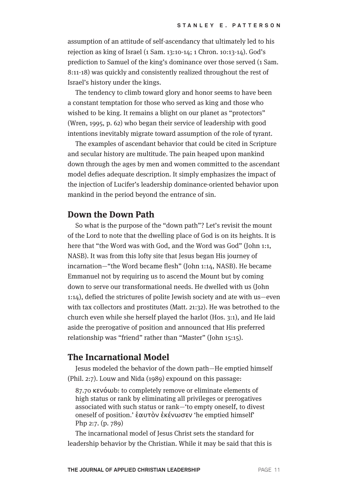assumption of an attitude of self-ascendancy that ultimately led to his rejection as king of Israel (1 Sam. 13:10-14; 1 Chron. 10:13-14). God's prediction to Samuel of the king's dominance over those served (1 Sam. 8:11-18) was quickly and consistently realized throughout the rest of Israel's history under the kings.

The tendency to climb toward glory and honor seems to have been a constant temptation for those who served as king and those who wished to be king. It remains a blight on our planet as "protectors" (Wren, 1995, p. 62) who began their service of leadership with good intentions inevitably migrate toward assumption of the role of tyrant.

The examples of ascendant behavior that could be cited in Scripture and secular history are multitude. The pain heaped upon mankind down through the ages by men and women committed to the ascendant model defies adequate description. It simply emphasizes the impact of the injection of Lucifer's leadership dominance-oriented behavior upon mankind in the period beyond the entrance of sin.

#### **Down the Down Path**

So what is the purpose of the "down path"? Let's revisit the mount of the Lord to note that the dwelling place of God is on its heights. It is here that "the Word was with God, and the Word was God" (John 1:1, NASB). It was from this lofty site that Jesus began His journey of incarnation—"the Word became flesh" (John 1:14, NASB). He became Emmanuel not by requiring us to ascend the Mount but by coming down to serve our transformational needs. He dwelled with us (John 1:14), defied the strictures of polite Jewish society and ate with us—even with tax collectors and prostitutes (Matt. 21:32). He was betrothed to the church even while she herself played the harlot (Hos. 3:1), and He laid aside the prerogative of position and announced that His preferred relationship was "friend" rather than "Master" (John 15:15).

#### **The Incarnational Model**

Jesus modeled the behavior of the down path—He emptied himself (Phil. 2:7). Louw and Nida (1989) expound on this passage:

87.70 κενόωb: to completely remove or eliminate elements of high status or rank by eliminating all privileges or prerogatives associated with such status or rank—'to empty oneself, to divest oneself of position.' ἑαυτὸν ἐκένωσεν 'he emptied himself' Php 2:7. (p. 789)

The incarnational model of Jesus Christ sets the standard for leadership behavior by the Christian. While it may be said that this is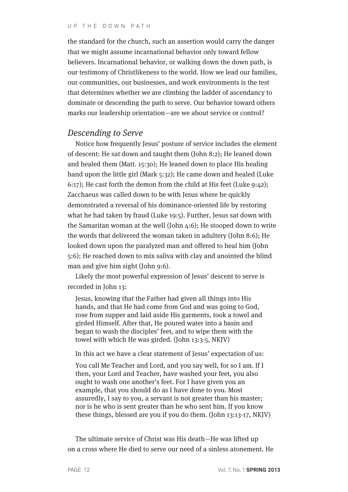the standard for the church, such an assertion would carry the danger that we might assume incarnational behavior only toward fellow believers. Incarnational behavior, or walking down the down path, is our testimony of Christlikeness to the world. How we lead our families, our communities, our businesses, and work environments is the test that determines whether we are climbing the ladder of ascendancy to dominate or descending the path to serve. Our behavior toward others marks our leadership orientation—are we about service or control?

#### Descending to Serve

Notice how frequently Jesus' posture of service includes the element of descent: He sat down and taught them (John 8:2); He leaned down and healed them (Matt. 15:30); He leaned down to place His healing hand upon the little girl (Mark 5:32); He came down and healed (Luke 6:17); He cast forth the demon from the child at His feet (Luke 9:42); Zacchaeus was called down to be with Jesus where he quickly demonstrated a reversal of his dominance-oriented life by restoring what he had taken by fraud (Luke 19:5). Further, Jesus sat down with the Samaritan woman at the well (John 4:6); He stooped down to write the words that delivered the woman taken in adultery (John 8:6); He looked down upon the paralyzed man and offered to heal him (John 5:6); He reached down to mix saliva with clay and anointed the blind man and give him sight (John 9:6).

Likely the most powerful expression of Jesus' descent to serve is recorded in John 13:

Jesus, knowing that the Father had given all things into His hands, and that He had come from God and was going to God, rose from supper and laid aside His garments, took a towel and girded Himself. After that, He poured water into a basin and began to wash the disciples' feet, and to wipe them with the towel with which He was girded. (John 13:3-5, NKJV)

In this act we have a clear statement of Jesus' expectation of us:

You call Me Teacher and Lord, and you say well, for so I am. If I then, your Lord and Teacher, have washed your feet, you also ought to wash one another's feet. For I have given you an example, that you should do as I have done to you. Most assuredly, I say to you, a servant is not greater than his master; nor is he who is sent greater than he who sent him. If you know these things, blessed are you if you do them. (John 13:13-17, NKJV)

The ultimate service of Christ was His death—He was lifted up on a cross where He died to serve our need of a sinless atonement. He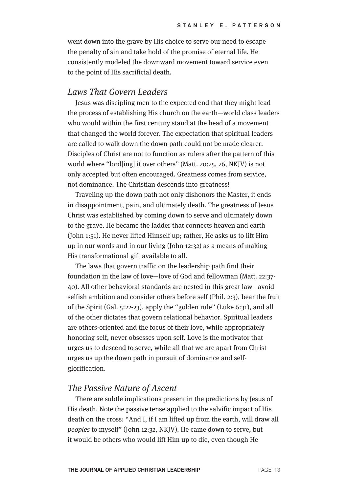went down into the grave by His choice to serve our need to escape the penalty of sin and take hold of the promise of eternal life. He consistently modeled the downward movement toward service even to the point of His sacrificial death.

#### Laws That Govern Leaders

Jesus was discipling men to the expected end that they might lead the process of establishing His church on the earth—world class leaders who would within the first century stand at the head of a movement that changed the world forever. The expectation that spiritual leaders are called to walk down the down path could not be made clearer. Disciples of Christ are not to function as rulers after the pattern of this world where "lord[ing] it over others" (Matt. 20:25, 26, NKJV) is not only accepted but often encouraged. Greatness comes from service, not dominance. The Christian descends into greatness!

Traveling up the down path not only dishonors the Master, it ends in disappointment, pain, and ultimately death. The greatness of Jesus Christ was established by coming down to serve and ultimately down to the grave. He became the ladder that connects heaven and earth (John 1:51). He never lifted Himself up; rather, He asks us to lift Him up in our words and in our living (John 12:32) as a means of making His transformational gift available to all.

The laws that govern traffic on the leadership path find their foundation in the law of love—love of God and fellowman (Matt. 22:37- 40). All other behavioral standards are nested in this great law—avoid selfish ambition and consider others before self (Phil. 2:3), bear the fruit of the Spirit (Gal. 5:22-23), apply the "golden rule" (Luke 6:31), and all of the other dictates that govern relational behavior. Spiritual leaders are others-oriented and the focus of their love, while appropriately honoring self, never obsesses upon self. Love is the motivator that urges us to descend to serve, while all that we are apart from Christ urges us up the down path in pursuit of dominance and selfglorification.

#### The Passive Nature of Ascent

There are subtle implications present in the predictions by Jesus of His death. Note the passive tense applied to the salvific impact of His death on the cross: "And I, if I am lifted up from the earth, will draw all peoples to myself" (John 12:32, NKJV). He came down to serve, but it would be others who would lift Him up to die, even though He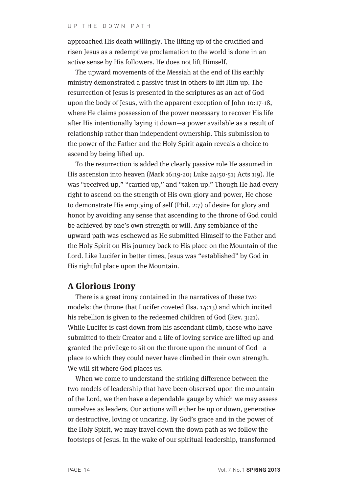approached His death willingly. The lifting up of the crucified and risen Jesus as a redemptive proclamation to the world is done in an active sense by His followers. He does not lift Himself.

The upward movements of the Messiah at the end of His earthly ministry demonstrated a passive trust in others to lift Him up. The resurrection of Jesus is presented in the scriptures as an act of God upon the body of Jesus, with the apparent exception of John 10:17-18, where He claims possession of the power necessary to recover His life after His intentionally laying it down—a power available as a result of relationship rather than independent ownership. This submission to the power of the Father and the Holy Spirit again reveals a choice to ascend by being lifted up.

To the resurrection is added the clearly passive role He assumed in His ascension into heaven (Mark 16:19-20; Luke 24:50-51; Acts 1:9). He was "received up," "carried up," and "taken up." Though He had every right to ascend on the strength of His own glory and power, He chose to demonstrate His emptying of self (Phil. 2:7) of desire for glory and honor by avoiding any sense that ascending to the throne of God could be achieved by one's own strength or will. Any semblance of the upward path was eschewed as He submitted Himself to the Father and the Holy Spirit on His journey back to His place on the Mountain of the Lord. Like Lucifer in better times, Jesus was "established" by God in His rightful place upon the Mountain.

#### **A Glorious Irony**

There is a great irony contained in the narratives of these two models: the throne that Lucifer coveted (Isa. 14:13) and which incited his rebellion is given to the redeemed children of God (Rev. 3:21). While Lucifer is cast down from his ascendant climb, those who have submitted to their Creator and a life of loving service are lifted up and granted the privilege to sit on the throne upon the mount of God—a place to which they could never have climbed in their own strength. We will sit where God places us.

When we come to understand the striking difference between the two models of leadership that have been observed upon the mountain of the Lord, we then have a dependable gauge by which we may assess ourselves as leaders. Our actions will either be up or down, generative or destructive, loving or uncaring. By God's grace and in the power of the Holy Spirit, we may travel down the down path as we follow the footsteps of Jesus. In the wake of our spiritual leadership, transformed